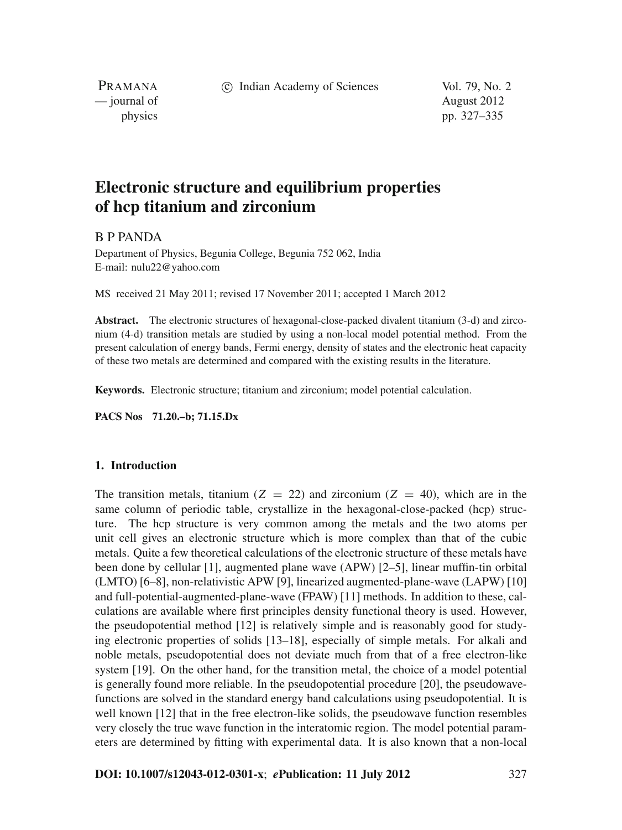c Indian Academy of Sciences Vol. 79, No. 2

PRAMANA — journal of August 2012

physics pp. 327–335

# **Electronic structure and equilibrium properties of hcp titanium and zirconium**

B P PANDA

Department of Physics, Begunia College, Begunia 752 062, India E-mail: nulu22@yahoo.com

MS received 21 May 2011; revised 17 November 2011; accepted 1 March 2012

**Abstract.** The electronic structures of hexagonal-close-packed divalent titanium (3-d) and zirconium (4-d) transition metals are studied by using a non-local model potential method. From the present calculation of energy bands, Fermi energy, density of states and the electronic heat capacity of these two metals are determined and compared with the existing results in the literature.

**Keywords.** Electronic structure; titanium and zirconium; model potential calculation.

**PACS Nos 71.20.–b; 71.15.Dx**

# **1. Introduction**

The transition metals, titanium ( $Z = 22$ ) and zirconium ( $Z = 40$ ), which are in the same column of periodic table, crystallize in the hexagonal-close-packed (hcp) structure. The hcp structure is very common among the metals and the two atoms per unit cell gives an electronic structure which is more complex than that of the cubic metals. Quite a few theoretical calculations of the electronic structure of these metals have been done by cellular [1], augmented plane wave (APW) [2–5], linear muffin-tin orbital (LMTO) [6–8], non-relativistic APW [9], linearized augmented-plane-wave (LAPW) [10] and full-potential-augmented-plane-wave (FPAW) [11] methods. In addition to these, calculations are available where first principles density functional theory is used. However, the pseudopotential method [12] is relatively simple and is reasonably good for studying electronic properties of solids [13–18], especially of simple metals. For alkali and noble metals, pseudopotential does not deviate much from that of a free electron-like system [19]. On the other hand, for the transition metal, the choice of a model potential is generally found more reliable. In the pseudopotential procedure [20], the pseudowavefunctions are solved in the standard energy band calculations using pseudopotential. It is well known [12] that in the free electron-like solids, the pseudowave function resembles very closely the true wave function in the interatomic region. The model potential parameters are determined by fitting with experimental data. It is also known that a non-local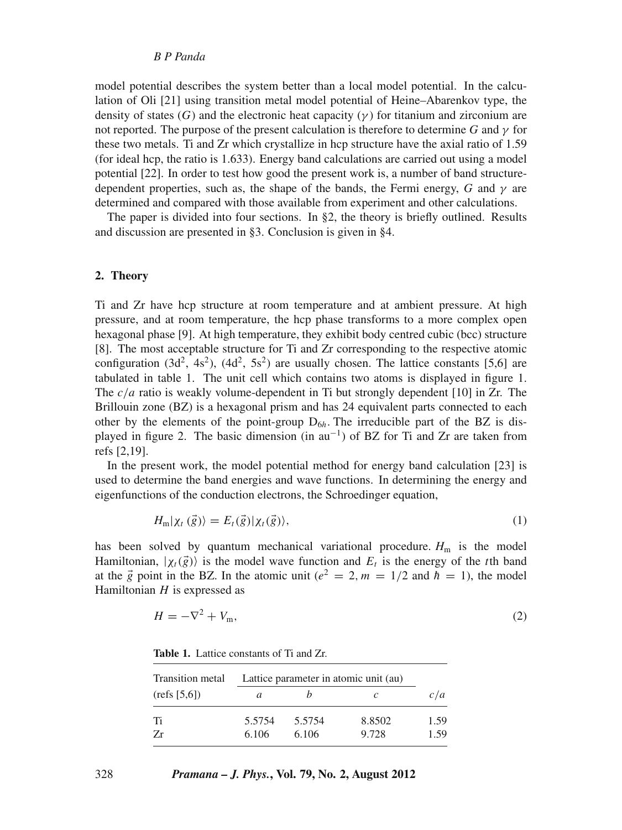# *B P Panda*

model potential describes the system better than a local model potential. In the calculation of Oli [21] using transition metal model potential of Heine–Abarenkov type, the density of states  $(G)$  and the electronic heat capacity  $(\gamma)$  for titanium and zirconium are not reported. The purpose of the present calculation is therefore to determine *G* and γ for these two metals. Ti and Zr which crystallize in hcp structure have the axial ratio of 1.59 (for ideal hcp, the ratio is 1.633). Energy band calculations are carried out using a model potential [22]. In order to test how good the present work is, a number of band structuredependent properties, such as, the shape of the bands, the Fermi energy, *G* and  $\gamma$  are determined and compared with those available from experiment and other calculations.

The paper is divided into four sections. In  $\S$ 2, the theory is briefly outlined. Results and discussion are presented in §3. Conclusion is given in §4.

#### **2. Theory**

Ti and Zr have hcp structure at room temperature and at ambient pressure. At high pressure, and at room temperature, the hcp phase transforms to a more complex open hexagonal phase [9]. At high temperature, they exhibit body centred cubic (bcc) structure [8]. The most acceptable structure for Ti and Zr corresponding to the respective atomic configuration (3d<sup>2</sup>, 4s<sup>2</sup>), (4d<sup>2</sup>, 5s<sup>2</sup>) are usually chosen. The lattice constants [5,6] are tabulated in table 1. The unit cell which contains two atoms is displayed in figure 1. The *c*/*a* ratio is weakly volume-dependent in Ti but strongly dependent [10] in Zr. The Brillouin zone (BZ) is a hexagonal prism and has 24 equivalent parts connected to each other by the elements of the point-group  $D_{6h}$ . The irreducible part of the BZ is displayed in figure 2. The basic dimension (in  $au^{-1}$ ) of BZ for Ti and Zr are taken from refs [2,19].

In the present work, the model potential method for energy band calculation [23] is used to determine the band energies and wave functions. In determining the energy and eigenfunctions of the conduction electrons, the Schroedinger equation,

$$
H_{\mathfrak{m}}|\chi_t(\vec{g})\rangle = E_t(\vec{g})|\chi_t(\vec{g})\rangle,\tag{1}
$$

has been solved by quantum mechanical variational procedure.  $H<sub>m</sub>$  is the model Hamiltonian,  $|\chi_t(\vec{g})\rangle$  is the model wave function and  $E_t$  is the energy of the *t*th band at the  $\vec{g}$  point in the BZ. In the atomic unit ( $e^2 = 2$ ,  $m = 1/2$  and  $\vec{h} = 1$ ), the model Hamiltonian *H* is expressed as

$$
H = -\nabla^2 + V_{\rm m},\tag{2}
$$

**Table 1.** Lattice constants of Ti and Zr.

| Transition metal | Lattice parameter in atomic unit (au) |        |        |      |
|------------------|---------------------------------------|--------|--------|------|
| (refs [5,6])     | a                                     |        |        | c/a  |
| Ti               | 5.5754                                | 5.5754 | 8.8502 | 1.59 |
| 7r               | 6.106                                 | 6.106  | 9.728  | 1.59 |

### 328 *Pramana – J. Phys.***, Vol. 79, No. 2, August 2012**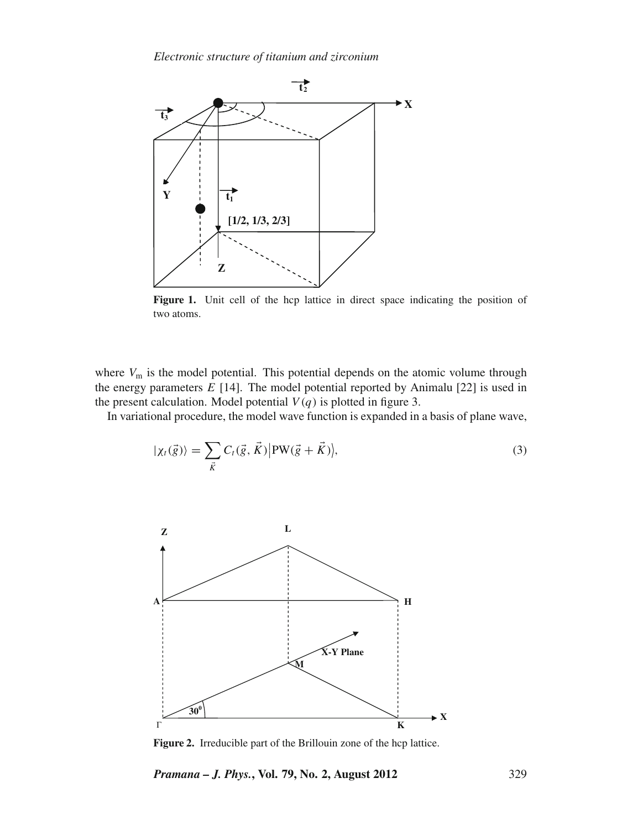

Figure 1. Unit cell of the hcp lattice in direct space indicating the position of two atoms.

where  $V_m$  is the model potential. This potential depends on the atomic volume through the energy parameters  $E$  [14]. The model potential reported by Animalu [22] is used in the present calculation. Model potential  $V(q)$  is plotted in figure 3.

In variational procedure, the model wave function is expanded in a basis of plane wave,

$$
|\chi_t(\vec{g})\rangle = \sum_{\vec{K}} C_t(\vec{g}, \vec{K}) |PW(\vec{g} + \vec{K})\rangle,
$$
\n(3)



**Figure 2.** Irreducible part of the Brillouin zone of the hcp lattice.

*Pramana – J. Phys.***, Vol. 79, No. 2, August 2012** 329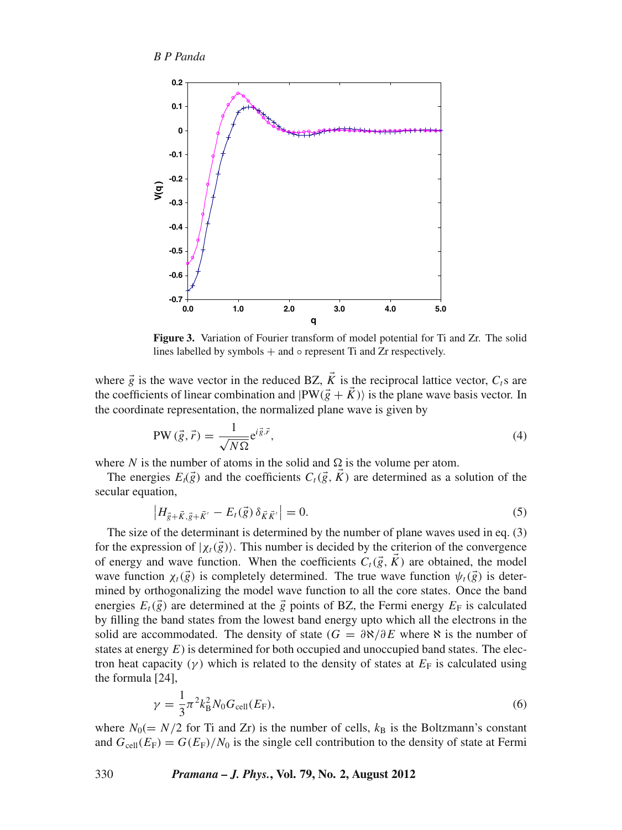

**Figure 3.** Variation of Fourier transform of model potential for Ti and Zr. The solid lines labelled by symbols  $+$  and  $\circ$  represent Ti and Zr respectively.

where  $\vec{g}$  is the wave vector in the reduced BZ,  $\vec{K}$  is the reciprocal lattice vector,  $C_t$ s are the coefficients of linear combination and  $|PW(\vec{g} + \vec{K})\rangle$  is the plane wave basis vector. In the coordinate representation, the normalized plane wave is given by

$$
PW\left(\vec{g},\vec{r}\right) = \frac{1}{\sqrt{N\Omega}}e^{i\vec{g}\cdot\vec{r}},\tag{4}
$$

where *N* is the number of atoms in the solid and  $\Omega$  is the volume per atom.

The energies  $E_t(\vec{g})$  and the coefficients  $C_t(\vec{g}, \vec{K})$  are determined as a solution of the secular equation,

$$
\left| H_{\vec{g} + \vec{K}, \vec{g} + \vec{K}'} - E_t(\vec{g}) \, \delta_{\vec{K}\vec{K}'} \right| = 0. \tag{5}
$$

The size of the determinant is determined by the number of plane waves used in eq. (3) for the expression of  $|\chi_t(\vec{g})\rangle$ . This number is decided by the criterion of the convergence of energy and wave function. When the coefficients  $C_t(\vec{g}, K)$  are obtained, the model wave function  $\chi_t(\vec{g})$  is completely determined. The true wave function  $\psi_t(\vec{g})$  is determined by orthogonalizing the model wave function to all the core states. Once the band energies  $E_t(\vec{g})$  are determined at the  $\vec{g}$  points of BZ, the Fermi energy  $E_F$  is calculated by filling the band states from the lowest band energy upto which all the electrons in the solid are accommodated. The density of state ( $G = \partial \aleph / \partial E$  where  $\aleph$  is the number of states at energy *E*) is determined for both occupied and unoccupied band states. The electron heat capacity ( $\gamma$ ) which is related to the density of states at  $E_F$  is calculated using the formula [24],

$$
\gamma = \frac{1}{3} \pi^2 k_B^2 N_0 G_{\text{cell}}(E_F),
$$
\n(6)

where  $N_0 (= N/2$  for Ti and Zr) is the number of cells,  $k_B$  is the Boltzmann's constant and  $G_{cell}(E_F) = G(E_F)/N_0$  is the single cell contribution to the density of state at Fermi

#### 330 *Pramana – J. Phys.***, Vol. 79, No. 2, August 2012**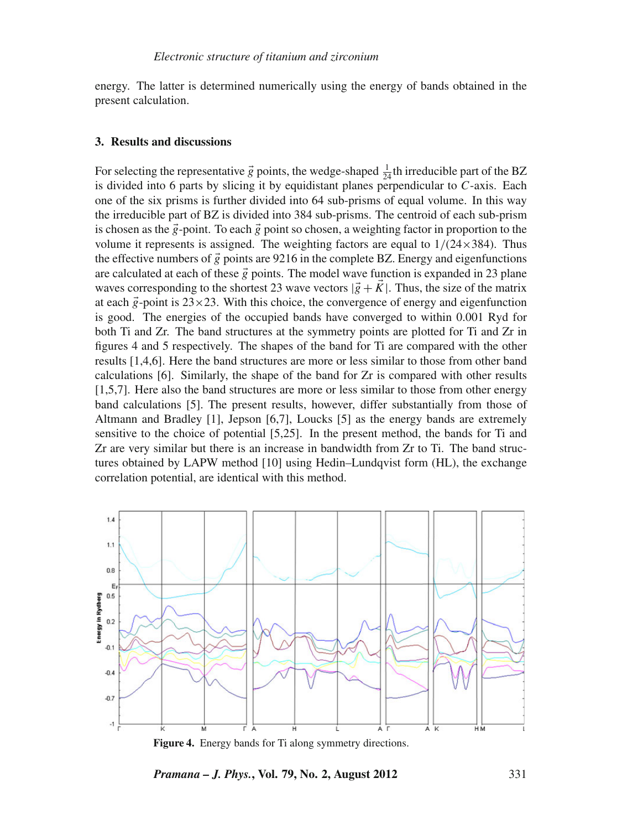energy. The latter is determined numerically using the energy of bands obtained in the present calculation.

## **3. Results and discussions**

For selecting the representative  $\vec{g}$  points, the wedge-shaped  $\frac{1}{24}$ th irreducible part of the BZ is divided into 6 parts by slicing it by equidistant planes perpendicular to *C*-axis. Each one of the six prisms is further divided into 64 sub-prisms of equal volume. In this way the irreducible part of BZ is divided into 384 sub-prisms. The centroid of each sub-prism is chosen as the  $\vec{g}$ -point. To each  $\vec{g}$  point so chosen, a weighting factor in proportion to the volume it represents is assigned. The weighting factors are equal to  $1/(24 \times 384)$ . Thus the effective numbers of  $\vec{g}$  points are 9216 in the complete BZ. Energy and eigenfunctions are calculated at each of these  $\vec{g}$  points. The model wave function is expanded in 23 plane waves corresponding to the shortest 23 wave vectors  $|\vec{g} + \vec{K}|$ . Thus, the size of the matrix at each  $\vec{g}$ -point is  $23 \times 23$ . With this choice, the convergence of energy and eigenfunction is good. The energies of the occupied bands have converged to within 0.001 Ryd for both Ti and Zr. The band structures at the symmetry points are plotted for Ti and Zr in figures 4 and 5 respectively. The shapes of the band for Ti are compared with the other results [1,4,6]. Here the band structures are more or less similar to those from other band calculations [6]. Similarly, the shape of the band for Zr is compared with other results [1,5,7]. Here also the band structures are more or less similar to those from other energy band calculations [5]. The present results, however, differ substantially from those of Altmann and Bradley [1], Jepson [6,7], Loucks [5] as the energy bands are extremely sensitive to the choice of potential [5,25]. In the present method, the bands for Ti and Zr are very similar but there is an increase in bandwidth from Zr to Ti. The band structures obtained by LAPW method [10] using Hedin–Lundqvist form (HL), the exchange correlation potential, are identical with this method.



**Figure 4.** Energy bands for Ti along symmetry directions.

*Pramana – J. Phys.***, Vol. 79, No. 2, August 2012** 331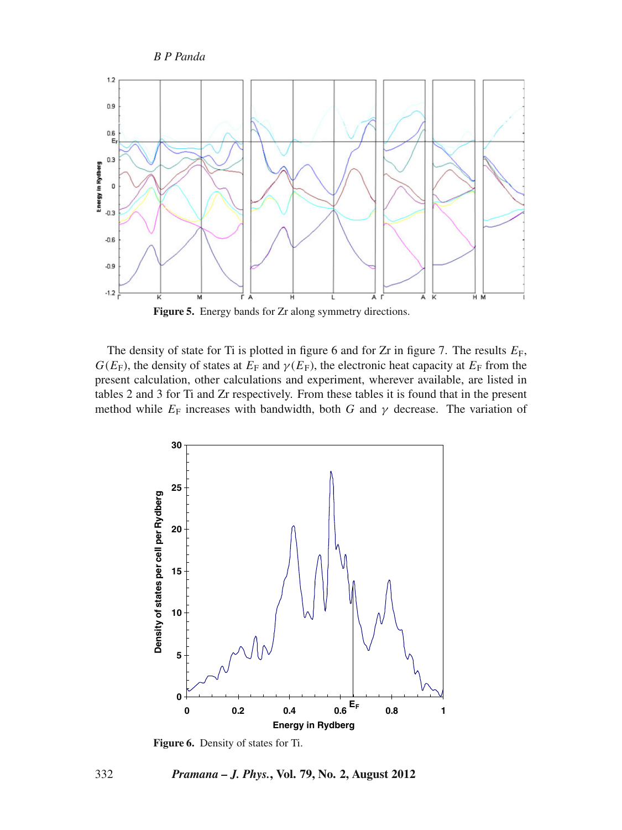*B P Panda*



Figure 5. Energy bands for Zr along symmetry directions.

The density of state for Ti is plotted in figure 6 and for Zr in figure 7. The results  $E_F$ ,  $G(E_F)$ , the density of states at  $E_F$  and  $\gamma(E_F)$ , the electronic heat capacity at  $E_F$  from the present calculation, other calculations and experiment, wherever available, are listed in tables 2 and 3 for Ti and Zr respectively. From these tables it is found that in the present method while  $E_F$  increases with bandwidth, both *G* and  $\gamma$  decrease. The variation of



**Figure 6.** Density of states for Ti.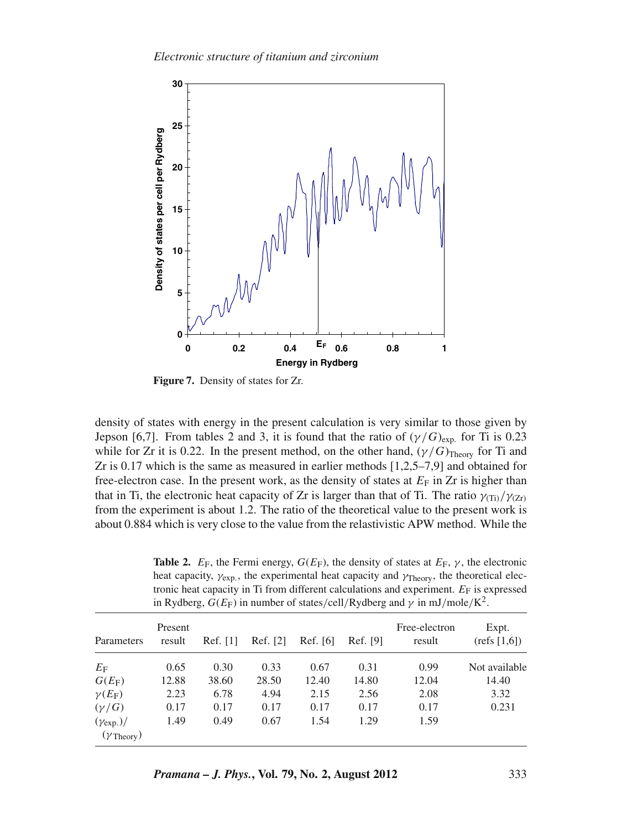

**Figure 7.** Density of states for Zr.

density of states with energy in the present calculation is very similar to those given by Jepson [6,7]. From tables 2 and 3, it is found that the ratio of  $(\gamma/G)_{\text{exp}}$  for Ti is 0.23 while for Zr it is 0.22. In the present method, on the other hand,  $(\gamma/G)_{\text{Theory}}$  for Ti and Zr is 0.17 which is the same as measured in earlier methods [1,2,5–7,9] and obtained for free-electron case. In the present work, as the density of states at  $E_F$  in  $Zr$  is higher than that in Ti, the electronic heat capacity of Zr is larger than that of Ti. The ratio  $\gamma_{(Ti)}/\gamma_{(Zr)}$ from the experiment is about 1.2. The ratio of the theoretical value to the present work is about 0.884 which is very close to the value from the relastivistic APW method. While the

**Table 2.**  $E_F$ , the Fermi energy,  $G(E_F)$ , the density of states at  $E_F$ ,  $\gamma$ , the electronic heat capacity,  $\gamma_{\text{exp}}$ , the experimental heat capacity and  $\gamma_{\text{Theory}}$ , the theoretical electronic heat capacity in Ti from different calculations and experiment.  $E_F$  is expressed in Rydberg,  $G(E_F)$  in number of states/cell/Rydberg and  $\gamma$  in mJ/mole/K<sup>2</sup>.

| Parameters                                       | Present<br>result | Ref. [1] | Ref. [2] | Ref. [6] | Ref. [9] | Free-electron<br>result | Expt.<br>(refs [1,6]) |
|--------------------------------------------------|-------------------|----------|----------|----------|----------|-------------------------|-----------------------|
| $E_{\rm F}$                                      | 0.65              | 0.30     | 0.33     | 0.67     | 0.31     | 0.99                    | Not available         |
| $G(E_F)$                                         | 12.88             | 38.60    | 28.50    | 12.40    | 14.80    | 12.04                   | 14.40                 |
| $\gamma(E_F)$                                    | 2.23              | 6.78     | 4.94     | 2.15     | 2.56     | 2.08                    | 3.32                  |
| $(\gamma/G)$                                     | 0.17              | 0.17     | 0.17     | 0.17     | 0.17     | 0.17                    | 0.231                 |
| $(\gamma_{exp.})/$<br>$(\gamma_{\text{Theory}})$ | 1.49              | 0.49     | 0.67     | 1.54     | 1.29     | 1.59                    |                       |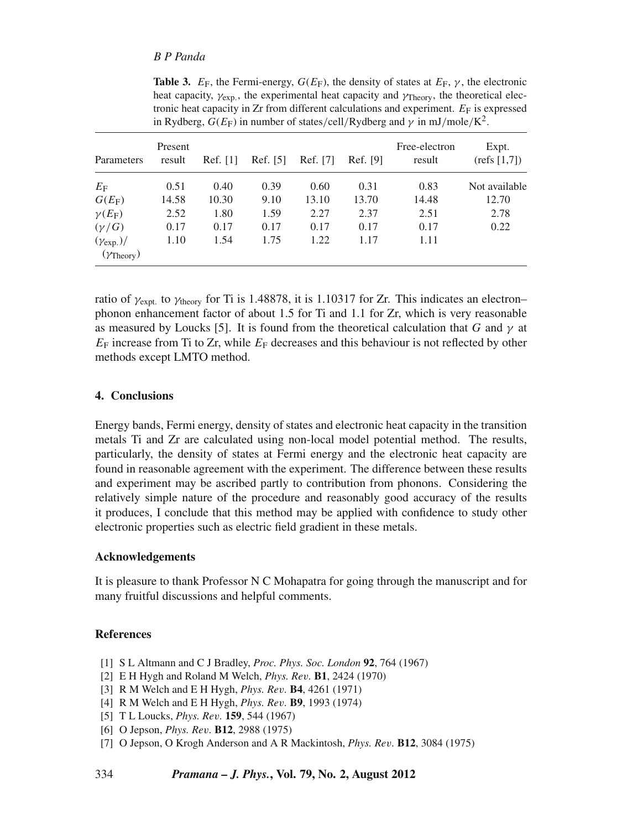# *B P Panda*

|                                                  | in Rydberg, $G(E_F)$ in number of states/cell/Rydberg and $\gamma$ in mJ/mole/K <sup>2</sup> . |          |          |          |          |                         |                       |
|--------------------------------------------------|------------------------------------------------------------------------------------------------|----------|----------|----------|----------|-------------------------|-----------------------|
| Parameters                                       | Present<br>result                                                                              | Ref. [1] | Ref. [5] | Ref. [7] | Ref. [9] | Free-electron<br>result | Expt.<br>(refs [1,7]) |
| $E_{\rm F}$                                      | 0.51                                                                                           | 0.40     | 0.39     | 0.60     | 0.31     | 0.83                    | Not available         |
| $G(E_F)$                                         | 14.58                                                                                          | 10.30    | 9.10     | 13.10    | 13.70    | 14.48                   | 12.70                 |
| $\gamma(E_F)$                                    | 2.52                                                                                           | 1.80     | 1.59     | 2.27     | 2.37     | 2.51                    | 2.78                  |
| $(\gamma/G)$                                     | 0.17                                                                                           | 0.17     | 0.17     | 0.17     | 0.17     | 0.17                    | 0.22                  |
| $(\gamma_{exp.})/$<br>$(\gamma_{\text{Theory}})$ | 1.10                                                                                           | 1.54     | 1.75     | 1.22     | 1.17     | 1.11                    |                       |

**Table 3.**  $E_F$ , the Fermi-energy,  $G(E_F)$ , the density of states at  $E_F$ ,  $\gamma$ , the electronic heat capacity,  $\gamma_{\text{exp}}$ , the experimental heat capacity and  $\gamma_{\text{Theory}}$ , the theoretical electronic heat capacity in  $Zr$  from different calculations and experiment.  $E<sub>F</sub>$  is expressed

ratio of  $\gamma_{\text{expt.}}$  to  $\gamma_{\text{theory}}$  for Ti is 1.48878, it is 1.10317 for Zr. This indicates an electron– phonon enhancement factor of about 1.5 for Ti and 1.1 for Zr, which is very reasonable as measured by Loucks [5]. It is found from the theoretical calculation that *G* and  $\gamma$  at  $E_F$  increase from Ti to Zr, while  $E_F$  decreases and this behaviour is not reflected by other methods except LMTO method.

# **4. Conclusions**

Energy bands, Fermi energy, density of states and electronic heat capacity in the transition metals Ti and Zr are calculated using non-local model potential method. The results, particularly, the density of states at Fermi energy and the electronic heat capacity are found in reasonable agreement with the experiment. The difference between these results and experiment may be ascribed partly to contribution from phonons. Considering the relatively simple nature of the procedure and reasonably good accuracy of the results it produces, I conclude that this method may be applied with confidence to study other electronic properties such as electric field gradient in these metals.

#### **Acknowledgements**

It is pleasure to thank Professor N C Mohapatra for going through the manuscript and for many fruitful discussions and helpful comments.

#### **References**

- [1] S L Altmann and C J Bradley, *Proc. Phys. Soc. London* **92**, 764 (1967)
- [2] E H Hygh and Roland M Welch, *Phys. Re*v*.* **B1**, 2424 (1970)
- [3] R M Welch and E H Hygh, *Phys. Re*v*.* **B4**, 4261 (1971)
- [4] R M Welch and E H Hygh, *Phys. Re*v*.* **B9**, 1993 (1974)
- [5] T L Loucks, *Phys. Re*v*.* **159**, 544 (1967)
- [6] O Jepson, *Phys. Re*v*.* **B12**, 2988 (1975)
- [7] O Jepson, O Krogh Anderson and A R Mackintosh, *Phys. Re*v*.* **B12**, 3084 (1975)